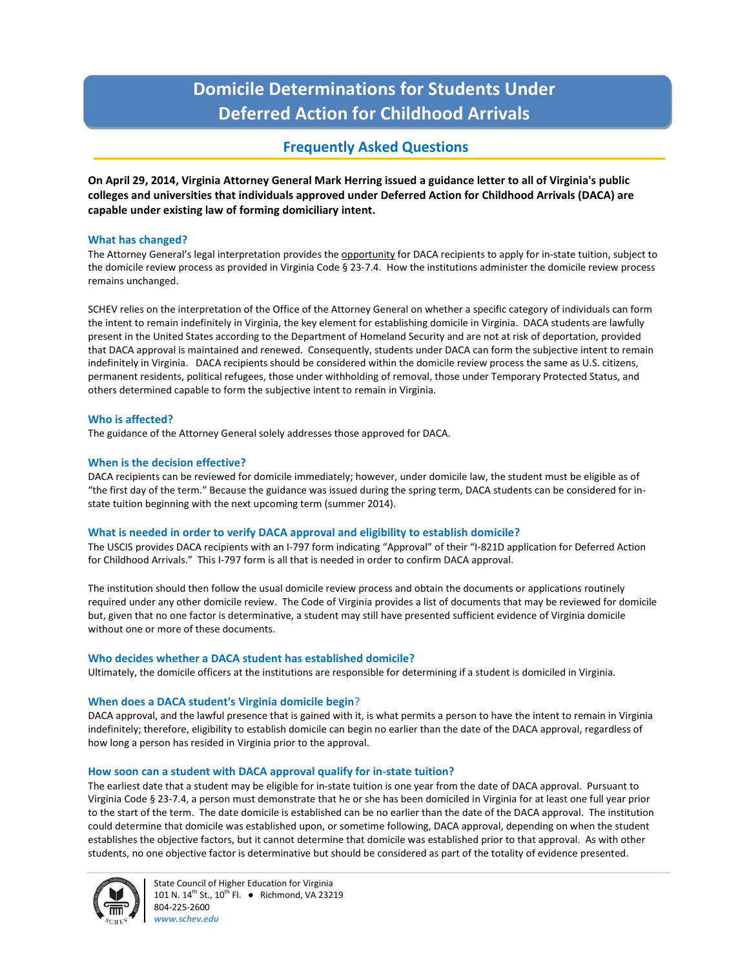# **Domicile Determinations for Students Under Deferred Action for Childhood Arrivals**

# **Frequently Asked Questions**

**On April 29, 2014, Virginia Attorney General Mark Herring issued a guidance letter to all of Virginia's public colleges and universities that individuals approved under Deferred Action for Childhood Arrivals (DACA) are capable under existing law of forming domiciliary intent.**

# **What has changed?**

The Attorney General's legal interpretation provides the opportunity for DACA recipients to apply for in-state tuition, subject to the domicile review process as provided in Virginia Code § 23-7.4. How the institutions administer the domicile review process remains unchanged.

SCHEV relies on the interpretation of the Office of the Attorney General on whether a specific category of individuals can form the intent to remain indefinitely in Virginia, the key element for establishing domicile in Virginia. DACA students are lawfully present in the United States according to the Department of Homeland Security and are not at risk of deportation, provided that DACA approval is maintained and renewed. Consequently, students under DACA can form the subjective intent to remain indefinitely in Virginia. DACA recipients should be considered within the domicile review process the same as U.S. citizens, permanent residents, political refugees, those under withholding of removal, those under Temporary Protected Status, and others determined capable to form the subjective intent to remain in Virginia.

# **Who is affected?**

The guidance of the Attorney General solely addresses those approved for DACA.

# **When is the decision effective?**

DACA recipients can be reviewed for domicile immediately; however, under domicile law, the student must be eligible as of "the first day of the term." Because the guidance was issued during the spring term, DACA students can be considered for instate tuition beginning with the next upcoming term (summer 2014).

# **What is needed in order to verify DACA approval and eligibility to establish domicile?**

The USCIS provides DACA recipients with an I-797 form indicating "Approval" of their "I-821D application for Deferred Action for Childhood Arrivals." This I-797 form is all that is needed in order to confirm DACA approval.

The institution should then follow the usual domicile review process and obtain the documents or applications routinely required under any other domicile review. The Code of Virginia provides a list of documents that may be reviewed for domicile but, given that no one factor is determinative, a student may still have presented sufficient evidence of Virginia domicile without one or more of these documents.

# **Who decides whether a DACA student has established domicile?**

Ultimately, the domicile officers at the institutions are responsible for determining if a student is domiciled in Virginia.

# **When does a DACA student's Virginia domicile begin**?

DACA approval, and the lawful presence that is gained with it, is what permits a person to have the intent to remain in Virginia indefinitely; therefore, eligibility to establish domicile can begin no earlier than the date of the DACA approval, regardless of how long a person has resided in Virginia prior to the approval.

# **How soon can a student with DACA approval qualify for in-state tuition?**

The earliest date that a student may be eligible for in-state tuition is one year from the date of DACA approval. Pursuant to Virginia Code § 23-7.4, a person must demonstrate that he or she has been domiciled in Virginia for at least one full year prior to the start of the term. The date domicile is established can be no earlier than the date of the DACA approval. The institution could determine that domicile was established upon, or sometime following, DACA approval, depending on when the student establishes the objective factors, but it cannot determine that domicile was established prior to that approval. As with other students, no one objective factor is determinative but should be considered as part of the totality of evidence presented.



State Council of Higher Education for Virginia 101 N. 14<sup>th</sup> St., 10<sup>th</sup> Fl. ● Richmond, VA 23219 804-225-2600 *www.schev.edu*